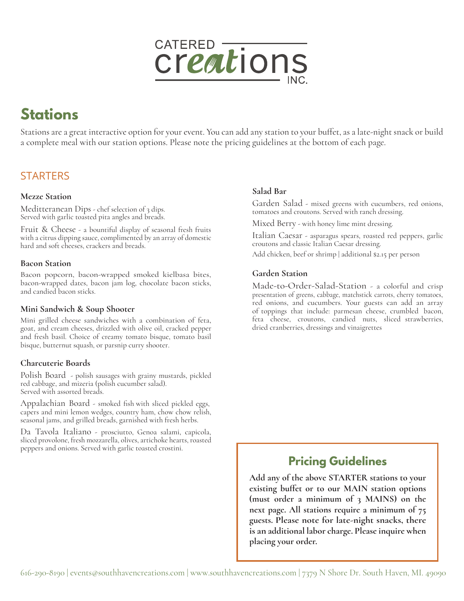

# **Stations**

Stations are a great interactive option for your event. You can add any station to your buffet, as a late-night snack or build a complete meal with our station options. Please note the pricing guidelines at the bottom of each page.

# **STARTERS**

### **Mezze Station**

Meditteranean Dips - chef selection of 3 dips. Served with garlic toasted pita angles and breads.

Fruit & Cheese - a bountiful display of seasonal fresh fruits with a citrus dipping sauce, complimented by an array of domestic hard and soft cheeses, crackers and breads.

#### **Bacon Station**

Bacon popcorn, bacon-wrapped smoked kielbasa bites, bacon-wrapped dates, bacon jam log, chocolate bacon sticks, and candied bacon sticks.

### **Mini Sandwich & Soup Shooter**

Mini grilled cheese sandwiches with a combination of feta, goat, and cream cheeses, drizzled with olive oil, cracked pepper and fresh basil. Choice of creamy tomato bisque, tomato basil bisque, butternut squash, or parsnip curry shooter.

# **Charcuterie Boards**

Polish Board - polish sausages with grainy mustards, pickled red cabbage, and mizeria (polish cucumber salad). Served with assorted breads.

Appalachian Board - smoked fish with sliced pickled eggs, capers and mini lemon wedges, country ham, chow chow relish, seasonal jams, and grilled breads, garnished with fresh herbs.

Da Tavola Italiano - prosciutto, Genoa salami, capicola, sliced provolone, fresh mozzarella, olives, artichoke hearts, roasted peppers and onions. Served with garlic toasted crostini.

# **Salad Bar**

Garden Salad - mixed greens with cucumbers, red onions, tomatoes and croutons. Served with ranch dressing.

Mixed Berry - with honey lime mint dressing.

Italian Caesar - asparagus spears, roasted red peppers, garlic croutons and classic Italian Caesar dressing.

Add chicken, beef or shrimp | additional \$2.15 per person

# **Garden Station**

Made-to-Order-Salad-Station - a colorful and crisp presentation of greens, cabbage, matchstick carrots, cherry tomatoes, red onions, and cucumbers. Your guests can add an array of toppings that include: parmesan cheese, crumbled bacon, feta cheese, croutons, candied nuts, sliced strawberries, dried cranberries, dressings and vinaigrettes

# **Pricing Guidelines**

**Add any of the above STARTER stations to your existing buffet or to our MAIN station options (must order a minimum of 3 MAINS) on the next page. All stations require a minimum of 75 guests. Please note for late-night snacks, there is an additional labor charge. Please inquire when placing your order.**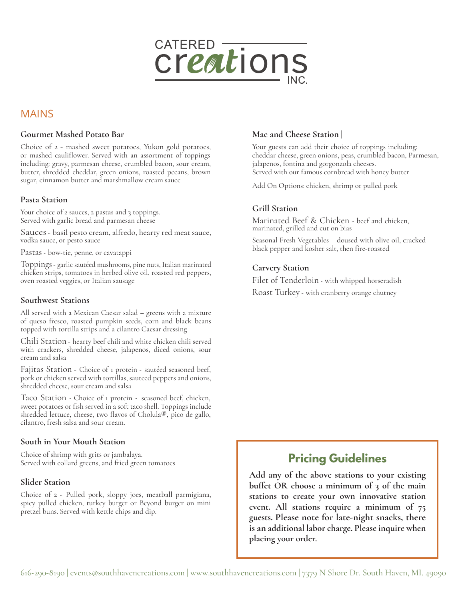

# MAINS

#### **Gourmet Mashed Potato Bar**

Choice of 2 - mashed sweet potatoes, Yukon gold potatoes, or mashed cauliflower. Served with an assortment of toppings including: gravy, parmesan cheese, crumbled bacon, sour cream, butter, shredded cheddar, green onions, roasted pecans, brown sugar, cinnamon butter and marshmallow cream sauce

#### **Pasta Station**

Your choice of 2 sauces, 2 pastas and 3 toppings. Served with garlic bread and parmesan cheese

Sauces- basil pesto cream, alfredo, hearty red meat sauce, vodka sauce, or pesto sauce

Pastas - bow-tie, penne, or cavatappi

Toppings - garlic sautéed mushrooms, pine nuts, Italian marinated chicken strips, tomatoes in herbed olive oil, roasted red peppers, oven roasted veggies, or Italian sausage

#### **Southwest Stations**

All served with a Mexican Caesar salad – greens with a mixture of queso fresco, roasted pumpkin seeds, corn and black beans topped with tortilla strips and a cilantro Caesar dressing

Chili Station - hearty beef chili and white chicken chili served with crackers, shredded cheese, jalapenos, diced onions, sour cream and salsa

Fajitas Station - Choice of 1 protein - sautéed seasoned beef, pork or chicken served with tortillas, sauteed peppers and onions, shredded cheese, sour cream and salsa

Taco Station - Choice of 1 protein - seasoned beef, chicken, sweet potatoes or fish served in a soft taco shell. Toppings include shredded lettuce, cheese, two flavos of Cholula®, pico de gallo, cilantro, fresh salsa and sour cream.

#### **South in Your Mouth Station**

Choice of shrimp with grits or jambalaya. Served with collard greens, and fried green tomatoes

#### **Slider Station**

Choice of 2 - Pulled pork, sloppy joes, meatball parmigiana, spicy pulled chicken, turkey burger or Beyond burger on mini pretzel buns. Served with kettle chips and dip.

#### **Mac and Cheese Station |**

Your guests can add their choice of toppings including: cheddar cheese, green onions, peas, crumbled bacon, Parmesan, jalapenos, fontina and gorgonzola cheeses. Served with our famous cornbread with honey butter

Add On Options: chicken, shrimp or pulled pork

### **Grill Station**

Marinated Beef & Chicken - beef and chicken, marinated, grilled and cut on bias

Seasonal Fresh Vegetables – doused with olive oil, cracked black pepper and kosher salt, then fire-roasted

#### **Carvery Station**

Filet of Tenderloin - with whipped horseradish Roast Turkey - with cranberry orange chutney

# **Pricing Guidelines**

**Add any of the above stations to your existing buffet OR choose a minimum of 3 of the main stations to create your own innovative station event. All stations require a minimum of 75 guests. Please note for late-night snacks, there is an additional labor charge. Please inquire when placing your order.**